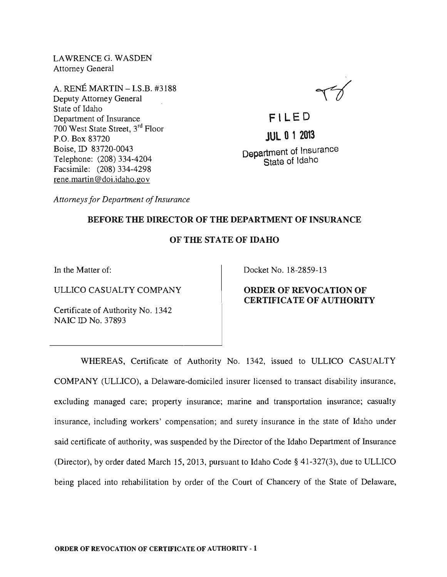LAWRENCEG. WASDEN Attorney General

A. RENE MARTIN - I.S.B. #3188 Deputy Attorney General State of Idaho Department of Insurance 700 West State Street, 3rd Floor P.O. Box 83720 Boise, ID 83720-0043 Telephone: (208) 334-4204 Facsimile: (208) 334-4298 rene.martin@doi.idaho.gov

**F' LE D JUL 0 1 2013**  Department of Insurance State of Idaho

*Attorneys for Department of Insurance* 

## BEFORE THE DIRECTOR OF THE DEPARTMENT OF INSURANCE

## OF THE STATE OF IDAHO

In the Matter of:

ULLICO CASUALTY COMPANY

Certificate of Authority No. 1342 NAIC ID No. 37893

Docket No. 18-2859-13

ORDER OF REVOCATION OF CERTIFICATE OF AUTHORITY

WHEREAS, Certificate of Authority No. 1342, issued to ULLICO CASUALTY COMPANY (ULLICO), a Delaware-domiciled insurer licensed to transact disability insurance, excluding managed care; property insurance; marine and transportation insurance; casualty insurance, including workers' compensation; and surety insurance in the state of Idaho under said certificate of authority, was suspended by the Director of the Idaho Department of Insurance (Director), by order dated March 15,2013, pursuant to Idaho Code § 41-327(3), due to ULLICO being placed into rehabilitation by order of the Court of Chancery of the State of Delaware,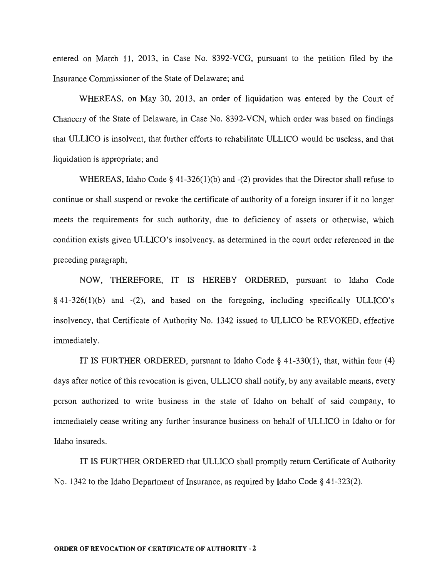entered on March 11, 2013, in Case No. 8392-VCG, pursuant to the petition filed by the Insurance Commissioner of the State of Delaware; and

WHEREAS, on May 30, 2013, an order of liquidation was entered by the Court of Chancery of the State of Delaware, in Case No. 8392-VCN, which order was based on findings that ULLICO is insolvent, that further efforts to rehabilitate ULLICO would be useless, and that liquidation is appropriate; and

WHEREAS, Idaho Code § 41-326(1)(b) and -(2) provides that the Director shall refuse to continue or shall suspend or revoke the certificate of authority of a foreign insurer if it no longer meets the requirements for such authority, due to deficiency of assets or otherwise, which condition exists given ULLICO's insolvency, as determined in the court order referenced in the preceding paragraph;

NOW, THEREFORE, IT IS HEREBY ORDERED, pursuant to Idaho Code § 41-326(1)(b) and -(2), and based on the foregoing, including specifically ULLICO's insolvency, that Certificate of Authority No. 1342 issued to ULLICO be REVOKED, effective immediately.

IT IS FURTHER ORDERED, pursuant to Idaho Code § 41-330(1), that, within four (4) days after notice of this revocation is given, ULLICO shall notify, by any available means, every person authorized to write business in the state of Idaho on behalf of said company, to immediately cease writing any further insurance business on behalf of ULLICO in Idaho or for Idaho insureds.

IT IS FURTHER ORDERED that ULLICO shall promptly return Certificate of Authority No. 1342 to the Idaho Department of Insurance, as required by Idaho Code § 41-323(2).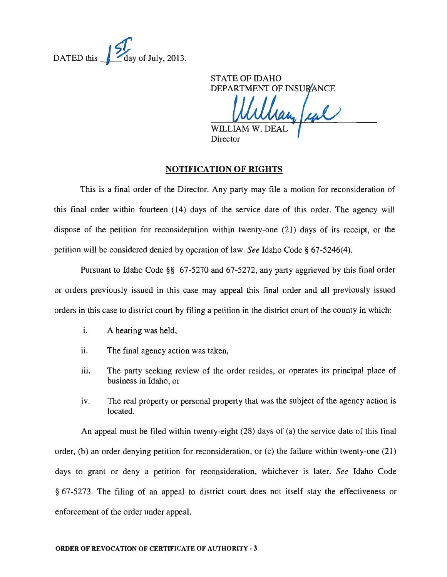

STATE OF IDAHO DEPARTMENT OF INSURANCE

ran feal **WILLIA** 

Director

## **NOTIFICATION OF RIGHTS**

This is a final order of the Director. Any party may file a motion for reconsideration of this final order within fourteen (14) days of the service date of this order. The agency will dispose of the petition for reconsideration within twenty-one (21) days of its receipt, or the petition will be considered denied by operation of law. *See* Idaho Code § 67-5246(4).

Pursuant to Idaho Code §§ 67-5270 and 67-5272, any party aggrieved by this final order or orders previously issued in this case may appeal this final order and all previously issued orders in this case to district court by filing a petition in the district court of the county in which:

- i. A hearing was held,
- ii. The final agency action was taken,
- iii. The party seeking review of the order resides, or operates its principal place of business in Idaho, or
- iv. The real property or personal property that was the subject of the agency action is located.

An appeal must be filed within twenty-eight (28) days of (a) the service date of this final order, (b) an order denying petition for reconsideration, or (c) the failure within twenty-one (21) days to grant or deny a petition for reconsideration, whichever is later. *See* Idaho Code § 67-5273. The filing of an appeal to district court does not itself stay the effectiveness or enforcement of the order under appeal.